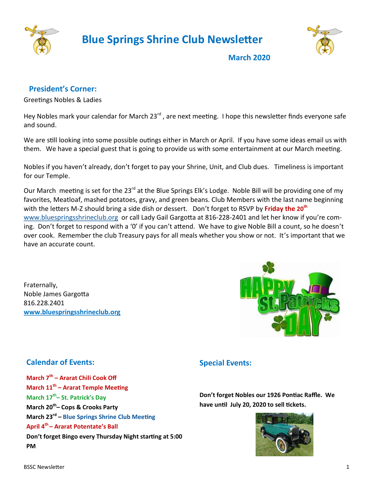

 **Blue Springs Shrine Club Newsletter**



**March 2020**

## **President's Corner:**

Greetings Nobles & Ladies

Hey Nobles mark your calendar for March 23<sup>rd</sup>, are next meeting. I hope this newsletter finds everyone safe and sound.

We are still looking into some possible outings either in March or April. If you have some ideas email us with them. We have a special guest that is going to provide us with some entertainment at our March meeting.

Nobles if you haven't already, don't forget to pay your Shrine, Unit, and Club dues. Timeliness is important for our Temple.

Our March meeting is set for the 23<sup>rd</sup> at the Blue Springs Elk's Lodge. Noble Bill will be providing one of my favorites, Meatloaf, mashed potatoes, gravy, and green beans. Club Members with the last name beginning with the letters M-Z should bring a side dish or dessert. Don't forget to RSVP by **Friday the 20th**  [www.bluespringsshrineclub.org](http://www.bluespringsshrineclub.org) or call Lady Gail Gargotta at 816-228-2401 and let her know if you're coming. Don't forget to respond with a '0' if you can't attend. We have to give Noble Bill a count, so he doesn't over cook. Remember the club Treasury pays for all meals whether you show or not. It's important that we have an accurate count.

Fraternally, Noble James Gargotta 816.228.2401 **[www.bluespringsshrineclub.org](http://www.bluespringsshrineclub.org)**



## **Calendar of Events:**

**March 7th – Ararat Chili Cook Off March 11th – Ararat Temple Meeting March 17th – St. Patrick's Day March 20th – Cops & Crooks Party March 23rd – Blue Springs Shrine Club Meeting April 4th – Ararat Potentate's Ball Don't forget Bingo every Thursday Night starting at 5:00 PM**

## **Special Events:**

**Don't forget Nobles our 1926 Pontiac Raffle. We have until July 20, 2020 to sell tickets.**